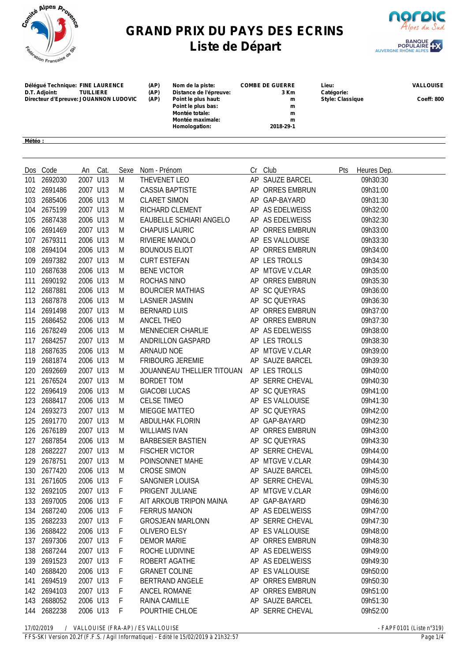

## **GRAND PRIX DU PAYS DES ECRINS Liste de Départ**



**Délégué Technique: FINE LAURENCE (AP) Nom de la piste: COMBE DE GUERRE Lieu: VALLOUISE Distance de l'épreuve: 3 Km Catégorie:**<br> **Point le plus haut: Distance de l'épreuve:**<br> **Distance de l'épreuve:**<br> **Distance de l'épreuve: Directeur d'Epreuve: JOUANNON LUDOVIC (AP) Point le plus haut: m Style: Classique Coeff: 800 Point le plus bas: m Montée totale: m Montée maximale: m Homologation: 2018-29-1 Météo :** 

|     | Dos Code    |          | An Cat. | Sexe         | Nom - Prénom               | Cr Club         | Pts | Heures Dep. |
|-----|-------------|----------|---------|--------------|----------------------------|-----------------|-----|-------------|
| 101 | 2692030     | 2007 U13 |         | M            | THEVENET LEO               | AP SAUZE BARCEL |     | 09h30:30    |
|     | 102 2691486 | 2007 U13 |         | M            | <b>CASSIA BAPTISTE</b>     | AP ORRES EMBRUN |     | 09h31:00    |
| 103 | 2685406     | 2006 U13 |         | M            | <b>CLARET SIMON</b>        | AP GAP-BAYARD   |     | 09h31:30    |
| 104 | 2675199     | 2007 U13 |         | M            | RICHARD CLEMENT            | AP AS EDELWEISS |     | 09h32:00    |
| 105 | 2687438     | 2006 U13 |         | M            | EAUBELLE SCHIARI ANGELO    | AP AS EDELWEISS |     | 09h32:30    |
| 106 | 2691469     | 2007 U13 |         | M            | <b>CHAPUIS LAURIC</b>      | AP ORRES EMBRUN |     | 09h33:00    |
| 107 | 2679311     | 2006 U13 |         | M            | RIVIERE MANOLO             | AP ES VALLOUISE |     | 09h33:30    |
| 108 | 2694104     | 2006 U13 |         | M            | <b>BOUNOUS ELIOT</b>       | AP ORRES EMBRUN |     | 09h34:00    |
| 109 | 2697382     | 2007 U13 |         | M            | <b>CURT ESTEFAN</b>        | AP LES TROLLS   |     | 09h34:30    |
| 110 | 2687638     | 2006 U13 |         | M            | <b>BENE VICTOR</b>         | AP MTGVE V.CLAR |     | 09h35:00    |
| 111 | 2690192     | 2006 U13 |         | M            | ROCHAS NINO                | AP ORRES EMBRUN |     | 09h35:30    |
| 112 | 2687881     | 2006 U13 |         | M            | <b>BOURCIER MATHIAS</b>    | AP SC QUEYRAS   |     | 09h36:00    |
| 113 | 2687878     | 2006 U13 |         | M            | <b>LASNIER JASMIN</b>      | AP SC QUEYRAS   |     | 09h36:30    |
| 114 | 2691498     | 2007 U13 |         | M            | <b>BERNARD LUIS</b>        | AP ORRES EMBRUN |     | 09h37:00    |
| 115 | 2686452     | 2006 U13 |         | M            | ANCEL THEO                 | AP ORRES EMBRUN |     | 09h37:30    |
| 116 | 2678249     | 2006 U13 |         | M            | <b>MENNECIER CHARLIE</b>   | AP AS EDELWEISS |     | 09h38:00    |
| 117 | 2684257     | 2007 U13 |         | M            | ANDRILLON GASPARD          | AP LES TROLLS   |     | 09h38:30    |
| 118 | 2687635     | 2006 U13 |         | M            | ARNAUD NOE                 | AP MTGVE V.CLAR |     | 09h39:00    |
| 119 | 2681874     | 2006 U13 |         | M            | <b>FRIBOURG JEREMIE</b>    | AP SAUZE BARCEL |     | 09h39:30    |
| 120 | 2692669     | 2007 U13 |         | M            | JOUANNEAU THELLIER TITOUAN | AP LES TROLLS   |     | 09h40:00    |
| 121 | 2676524     | 2007 U13 |         | M            | <b>BORDET TOM</b>          | AP SERRE CHEVAL |     | 09h40:30    |
| 122 | 2696419     | 2006 U13 |         | M            | <b>GIACOBI LUCAS</b>       | AP SC QUEYRAS   |     | 09h41:00    |
| 123 | 2688417     | 2006 U13 |         | M            | <b>CELSE TIMEO</b>         | AP ES VALLOUISE |     | 09h41:30    |
| 124 | 2693273     | 2007 U13 |         | M            | MIEGGE MATTEO              | AP SC QUEYRAS   |     | 09h42:00    |
| 125 | 2691770     | 2007 U13 |         | M            | ABDULHAK FLORIN            | AP GAP-BAYARD   |     | 09h42:30    |
| 126 | 2676189     | 2007 U13 |         | M            | <b>WILLIAMS IVAN</b>       | AP ORRES EMBRUN |     | 09h43:00    |
| 127 | 2687854     | 2006 U13 |         | M            | <b>BARBESIER BASTIEN</b>   | AP SC QUEYRAS   |     | 09h43:30    |
| 128 | 2682227     | 2007 U13 |         | M            | <b>FISCHER VICTOR</b>      | AP SERRE CHEVAL |     | 09h44:00    |
| 129 | 2678751     | 2007 U13 |         | M            | POINSONNET MAHE            | AP MTGVE V.CLAR |     | 09h44:30    |
| 130 | 2677420     | 2006 U13 |         | M            | <b>CROSE SIMON</b>         | AP SAUZE BARCEL |     | 09h45:00    |
| 131 | 2671605     | 2006 U13 |         | F            | SANGNIER LOUISA            | AP SERRE CHEVAL |     | 09h45:30    |
| 132 | 2692105     | 2007 U13 |         | F            | PRIGENT JULIANE            | AP MTGVE V.CLAR |     | 09h46:00    |
|     | 133 2697005 | 2006 U13 |         | F            | AIT ARKOUB TRIPON MAINA    | AP GAP-BAYARD   |     | 09h46:30    |
|     | 134 2687240 | 2006 U13 |         | $\mathsf{F}$ | <b>FERRUS MANON</b>        | AP AS EDELWEISS |     | 09h47:00    |
| 135 | 2682233     | 2007 U13 |         | F            | <b>GROSJEAN MARLONN</b>    | AP SERRE CHEVAL |     | 09h47:30    |
| 136 | 2688422     | 2006 U13 |         | F            | <b>OLIVERO ELSY</b>        | AP ES VALLOUISE |     | 09h48:00    |
| 137 | 2697306     | 2007 U13 |         | F            | <b>DEMOR MARIE</b>         | AP ORRES EMBRUN |     | 09h48:30    |
| 138 | 2687244     | 2007 U13 |         | F            | ROCHE LUDIVINE             | AP AS EDELWEISS |     | 09h49:00    |
| 139 | 2691523     | 2007 U13 |         | F            | ROBERT AGATHE              | AP AS EDELWEISS |     | 09h49:30    |
| 140 | 2688420     | 2006 U13 |         | F            | <b>GRANET COLINE</b>       | AP ES VALLOUISE |     | 09h50:00    |
| 141 | 2694519     | 2007 U13 |         | F            | <b>BERTRAND ANGELE</b>     | AP ORRES EMBRUN |     | 09h50:30    |
|     | 142 2694103 | 2007 U13 |         | F            | ANCEL ROMANE               | AP ORRES EMBRUN |     | 09h51:00    |
| 143 | 2688052     | 2006 U13 |         | F            | RAINA CAMILLE              | AP SAUZE BARCEL |     | 09h51:30    |
| 144 | 2682238     | 2006 U13 |         | F            | POURTHIE CHLOE             | AP SERRE CHEVAL |     | 09h52:00    |

*17/02/2019 / VALLOUISE (FRA-AP) / ES VALLOUISE - FAPF0101 (Liste n°319)*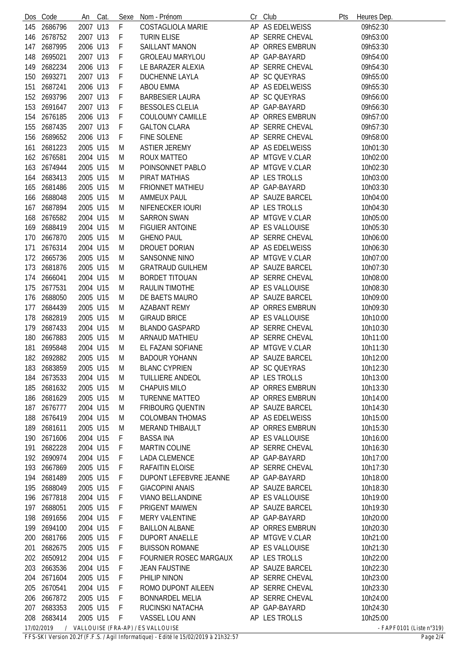|     | Dos Code                 | An Cat.  | Sexe | Nom - Prénom                      | Cr Club         | Pts | Heures Dep. |                            |
|-----|--------------------------|----------|------|-----------------------------------|-----------------|-----|-------------|----------------------------|
| 145 | 2686796                  | 2007 U13 | F    | <b>COSTAGLIOLA MARIE</b>          | AP AS EDELWEISS |     | 09h52:30    |                            |
| 146 | 2678752                  | 2007 U13 | F    | <b>TURIN ELISE</b>                | AP SERRE CHEVAL |     | 09h53:00    |                            |
| 147 | 2687995                  | 2006 U13 | F    | SAILLANT MANON                    | AP ORRES EMBRUN |     | 09h53:30    |                            |
| 148 | 2695021                  | 2007 U13 | F    | <b>GROLEAU MARYLOU</b>            | AP GAP-BAYARD   |     | 09h54:00    |                            |
| 149 | 2682234                  | 2006 U13 | F    | LE BARAZER ALEXIA                 | AP SERRE CHEVAL |     | 09h54:30    |                            |
| 150 | 2693271                  | 2007 U13 | F    | <b>DUCHENNE LAYLA</b>             | AP SC QUEYRAS   |     | 09h55:00    |                            |
| 151 | 2687241                  | 2006 U13 | F    | <b>ABOU EMMA</b>                  | AP AS EDELWEISS |     | 09h55:30    |                            |
| 152 | 2693796                  | 2007 U13 | F    | <b>BARBESIER LAURA</b>            | AP SC QUEYRAS   |     | 09h56:00    |                            |
| 153 | 2691647                  | 2007 U13 | F    | <b>BESSOLES CLELIA</b>            | AP GAP-BAYARD   |     | 09h56:30    |                            |
| 154 | 2676185                  | 2006 U13 | F    | COULOUMY CAMILLE                  | AP ORRES EMBRUN |     | 09h57:00    |                            |
| 155 | 2687435                  | 2007 U13 | F    | <b>GALTON CLARA</b>               | AP SERRE CHEVAL |     | 09h57:30    |                            |
| 156 | 2689652                  | 2006 U13 | F    | FINE SOLENE                       | AP SERRE CHEVAL |     | 09h58:00    |                            |
| 161 | 2681223                  | 2005 U15 | M    | <b>ASTIER JEREMY</b>              | AP AS EDELWEISS |     | 10h01:30    |                            |
| 162 | 2676581                  | 2004 U15 | M    | ROUX MATTEO                       | AP MTGVE V.CLAR |     | 10h02:00    |                            |
| 163 | 2674944                  | 2005 U15 | M    | POINSONNET PABLO                  | AP MTGVE V.CLAR |     | 10h02:30    |                            |
| 164 | 2683413                  | 2005 U15 | M    | PIRAT MATHIAS                     | AP LES TROLLS   |     | 10h03:00    |                            |
| 165 | 2681486                  | 2005 U15 | M    | <b>FRIONNET MATHIEU</b>           | AP GAP-BAYARD   |     | 10h03:30    |                            |
| 166 | 2688048                  | 2005 U15 | M    | <b>AMMEUX PAUL</b>                | AP SAUZE BARCEL |     | 10h04:00    |                            |
| 167 | 2687894                  | 2005 U15 | M    | NIFENECKER IOURI                  | AP LES TROLLS   |     | 10h04:30    |                            |
| 168 | 2676582                  | 2004 U15 | M    | <b>SARRON SWAN</b>                | AP MTGVE V.CLAR |     | 10h05:00    |                            |
| 169 | 2688419                  | 2004 U15 | M    | <b>FIGUIER ANTOINE</b>            | AP ES VALLOUISE |     | 10h05:30    |                            |
| 170 | 2667870                  | 2005 U15 | M    | <b>GHENO PAUL</b>                 | AP SERRE CHEVAL |     | 10h06:00    |                            |
| 171 | 2676314                  | 2004 U15 | M    | DROUET DORIAN                     | AP AS EDELWEISS |     | 10h06:30    |                            |
|     | 2665736                  | 2005 U15 |      | SANSONNE NINO                     | AP MTGVE V.CLAR |     |             |                            |
| 172 |                          |          | M    |                                   |                 |     | 10h07:00    |                            |
| 173 | 2681876                  | 2005 U15 | M    | <b>GRATRAUD GUILHEM</b>           | AP SAUZE BARCEL |     | 10h07:30    |                            |
| 174 | 2666041                  | 2004 U15 | M    | <b>BORDET TITOUAN</b>             | AP SERRE CHEVAL |     | 10h08:00    |                            |
| 175 | 2677531                  | 2004 U15 | M    | RAULIN TIMOTHE                    | AP ES VALLOUISE |     | 10h08:30    |                            |
| 176 | 2688050                  | 2005 U15 | M    | DE BAETS MAURO                    | AP SAUZE BARCEL |     | 10h09:00    |                            |
| 177 | 2684439                  | 2005 U15 | M    | <b>AZABANT REMY</b>               | AP ORRES EMBRUN |     | 10h09:30    |                            |
| 178 | 2682819                  | 2005 U15 | M    | <b>GIRAUD BRICE</b>               | AP ES VALLOUISE |     | 10h10:00    |                            |
| 179 | 2687433                  | 2004 U15 | M    | <b>BLANDO GASPARD</b>             | AP SERRE CHEVAL |     | 10h10:30    |                            |
| 180 | 2667883                  | 2005 U15 | M    | ARNAUD MATHIEU                    | AP SERRE CHEVAL |     | 10h11:00    |                            |
| 181 | 2695848                  | 2004 U15 | M    | EL FAZANI SOFIANE                 | AP MTGVE V.CLAR |     | 10h11:30    |                            |
|     | 182 2692882              | 2005 U15 | M    | <b>BADOUR YOHANN</b>              | AP SAUZE BARCEL |     | 10h12:00    |                            |
| 183 | 2683859                  | 2005 U15 | M    | <b>BLANC CYPRIEN</b>              | AP SC QUEYRAS   |     | 10h12:30    |                            |
| 184 | 2673533                  | 2004 U15 | M    | TUILLIERE ANDEOL                  | AP LES TROLLS   |     | 10h13:00    |                            |
| 185 | 2681632                  | 2005 U15 | M    | <b>CHAPUIS MILO</b>               | AP ORRES EMBRUN |     | 10h13:30    |                            |
|     | 186 2681629              | 2005 U15 | M    | <b>TURENNE MATTEO</b>             | AP ORRES EMBRUN |     | 10h14:00    |                            |
| 187 | 2676777                  | 2004 U15 | M    | <b>FRIBOURG QUENTIN</b>           | AP SAUZE BARCEL |     | 10h14:30    |                            |
| 188 | 2676419                  | 2004 U15 | M    | <b>COLOMBAN THOMAS</b>            | AP AS EDELWEISS |     | 10h15:00    |                            |
| 189 | 2681611                  | 2005 U15 | M    | <b>MERAND THIBAULT</b>            | AP ORRES EMBRUN |     | 10h15:30    |                            |
| 190 | 2671606                  | 2004 U15 | F    | <b>BASSA INA</b>                  | AP ES VALLOUISE |     | 10h16:00    |                            |
| 191 | 2682228                  | 2004 U15 | F    | <b>MARTIN COLINE</b>              | AP SERRE CHEVAL |     | 10h16:30    |                            |
|     | 192 2690974              | 2004 U15 | F    | <b>LADA CLEMENCE</b>              | AP GAP-BAYARD   |     | 10h17:00    |                            |
| 193 | 2667869                  | 2005 U15 | F    | RAFAITIN ELOISE                   | AP SERRE CHEVAL |     | 10h17:30    |                            |
| 194 | 2681489                  | 2005 U15 | F    | DUPONT LEFEBVRE JEANNE            | AP GAP-BAYARD   |     | 10h18:00    |                            |
| 195 | 2688049                  | 2005 U15 | F    | <b>GIACOPINI ANAIS</b>            | AP SAUZE BARCEL |     | 10h18:30    |                            |
| 196 | 2677818                  | 2004 U15 | F    | <b>VIANO BELLANDINE</b>           | AP ES VALLOUISE |     | 10h19:00    |                            |
| 197 | 2688051                  | 2005 U15 | F    | PRIGENT MAIWEN                    | AP SAUZE BARCEL |     | 10h19:30    |                            |
| 198 | 2691656                  | 2004 U15 | F    | <b>MERY VALENTINE</b>             | AP GAP-BAYARD   |     | 10h20:00    |                            |
| 199 | 2694100                  | 2004 U15 | F    | <b>BAILLON ALBANE</b>             | AP ORRES EMBRUN |     | 10h20:30    |                            |
| 200 | 2681766                  | 2005 U15 | F    | <b>DUPORT ANAELLE</b>             | AP MTGVE V.CLAR |     | 10h21:00    |                            |
| 201 | 2682675                  | 2005 U15 | F    | <b>BUISSON ROMANE</b>             | AP ES VALLOUISE |     | 10h21:30    |                            |
|     | 202 2650912              | 2004 U15 | F    | FOURNIER ROSEC MARGAUX            | AP LES TROLLS   |     | 10h22:00    |                            |
| 203 | 2663536                  | 2004 U15 | F    | <b>JEAN FAUSTINE</b>              | AP SAUZE BARCEL |     | 10h22:30    |                            |
| 204 | 2671604                  | 2005 U15 | F    | PHILIP NINON                      | AP SERRE CHEVAL |     | 10h23:00    |                            |
| 205 | 2670541                  | 2004 U15 | F    | ROMO DUPONT AILEEN                | AP SERRE CHEVAL |     | 10h23:30    |                            |
| 206 | 2667872                  | 2005 U15 | F    | <b>BONNARDEL MELIA</b>            | AP SERRE CHEVAL |     | 10h24:00    |                            |
| 207 | 2683353                  | 2005 U15 | F    | RUCINSKI NATACHA                  | AP GAP-BAYARD   |     | 10h24:30    |                            |
|     | 208 2683414              | 2005 U15 | F    | VASSEL LOU ANN                    | AP LES TROLLS   |     | 10h25:00    |                            |
|     | 17/02/2019<br>$\sqrt{2}$ |          |      | VALLOUISE (FRA-AP) / ES VALLOUISE |                 |     |             | $- FAPF0101$ (Liste n°319) |

*FFS-SKI Version 20.2f (F.F.S. / Agil Informatique) - Edité le 15/02/2019 à 21h32:57 Page 2/4*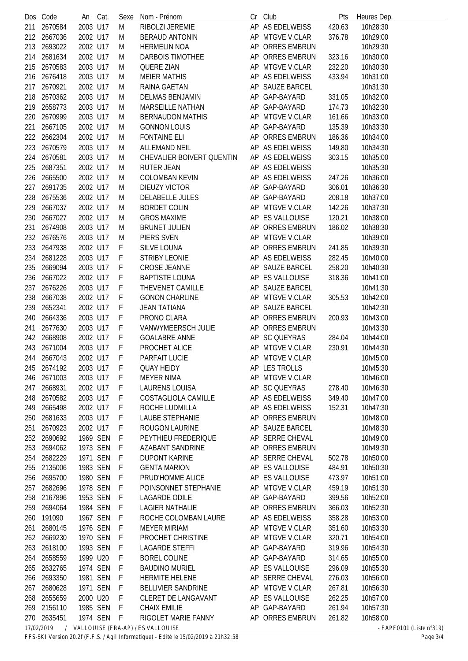|            | Dos Code    | An       | Cat. | Sexe | Nom - Prénom                      |    | Cr Club             | Pts    | Heures Dep.                        |
|------------|-------------|----------|------|------|-----------------------------------|----|---------------------|--------|------------------------------------|
| 211        | 2670584     | 2003 U17 |      | M    | RIBOLZI JEREMIE                   |    | AP AS EDELWEISS     | 420.63 | 10h28:30                           |
| 212        | 2667036     | 2002 U17 |      | M    | <b>BERAUD ANTONIN</b>             |    | AP MTGVE V.CLAR     | 376.78 | 10h29:00                           |
| 213        | 2693022     | 2002 U17 |      | M    | <b>HERMELIN NOA</b>               |    | AP ORRES EMBRUN     |        | 10h29:30                           |
| 214        | 2681634     | 2002 U17 |      | M    | DARBOIS TIMOTHEE                  |    | AP ORRES EMBRUN     | 323.16 | 10h30:00                           |
| 215        | 2670583     | 2003 U17 |      | M    | <b>QUERE ZIAN</b>                 |    | AP MTGVE V.CLAR     | 232.20 | 10h30:30                           |
| 216        | 2676418     | 2003 U17 |      | M    | <b>MEIER MATHIS</b>               |    | AP AS EDELWEISS     | 433.94 | 10h31:00                           |
| 217        | 2670921     | 2002 U17 |      | M    | RAINA GAETAN                      |    | AP SAUZE BARCEL     |        | 10h31:30                           |
| 218        | 2670362     | 2003 U17 |      | M    | DELMAS BENJAMIN                   |    | AP GAP-BAYARD       | 331.05 | 10h32:00                           |
| 219        | 2658773     | 2003 U17 |      | M    | MARSEILLE NATHAN                  |    | AP GAP-BAYARD       | 174.73 | 10h32:30                           |
| 220        | 2670999     | 2003 U17 |      | M    | <b>BERNAUDON MATHIS</b>           |    | AP MTGVE V.CLAR     | 161.66 | 10h33:00                           |
| 221        | 2667105     | 2002 U17 |      | M    | <b>GONNON LOUIS</b>               |    | AP GAP-BAYARD       | 135.39 | 10h33:30                           |
| 222        | 2662304     | 2002 U17 |      | M    | <b>FONTAINE ELI</b>               |    | AP ORRES EMBRUN     | 186.36 | 10h34:00                           |
| 223        | 2670579     | 2003 U17 |      | M    | <b>ALLEMAND NEIL</b>              |    | AP AS EDELWEISS     | 149.80 | 10h34:30                           |
|            |             |          |      |      |                                   |    | AP AS EDELWEISS     |        |                                    |
| 224        | 2670581     | 2003 U17 |      | M    | CHEVALIER BOIVERT QUENTIN         |    |                     | 303.15 | 10h35:00                           |
| 225        | 2687351     | 2002 U17 |      | M    | <b>RUTER JEAN</b>                 |    | AP AS EDELWEISS     |        | 10h35:30                           |
| 226        | 2665500     | 2002 U17 |      | M    | <b>COLOMBAN KEVIN</b>             |    | AP AS EDELWEISS     | 247.26 | 10h36:00                           |
| 227        | 2691735     | 2002 U17 |      | M    | <b>DIEUZY VICTOR</b>              |    | AP GAP-BAYARD       | 306.01 | 10h36:30                           |
| 228        | 2675536     | 2002 U17 |      | M    | <b>DELABELLE JULES</b>            |    | AP GAP-BAYARD       | 208.18 | 10h37:00                           |
| 229        | 2667037     | 2002 U17 |      | M    | <b>BORDET COLIN</b>               |    | AP MTGVE V.CLAR     | 142.26 | 10h37:30                           |
| 230        | 2667027     | 2002 U17 |      | M    | <b>GROS MAXIME</b>                |    | AP ES VALLOUISE     | 120.21 | 10h38:00                           |
| 231        | 2674908     | 2003 U17 |      | M    | <b>BRUNET JULIEN</b>              |    | AP ORRES EMBRUN     | 186.02 | 10h38:30                           |
|            | 232 2676576 | 2003 U17 |      | M    | PIERS SVEN                        |    | AP MTGVE V.CLAR     |        | 10h39:00                           |
| 233        | 2647938     | 2002 U17 |      | F    | SILVE LOUNA                       | AP | <b>ORRES EMBRUN</b> | 241.85 | 10h39:30                           |
| 234        | 2681228     | 2003 U17 |      | F    | STRIBY LEONIE                     |    | AP AS EDELWEISS     | 282.45 | 10h40:00                           |
| 235        | 2669094     | 2003 U17 |      | F    | CROSE JEANNE                      |    | AP SAUZE BARCEL     | 258.20 | 10h40:30                           |
| 236        | 2667022     | 2002 U17 |      | F    | <b>BAPTISTE LOUNA</b>             |    | AP ES VALLOUISE     | 318.36 | 10h41:00                           |
| 237        | 2676226     | 2003 U17 |      | F    | THEVENET CAMILLE                  |    | AP SAUZE BARCEL     |        | 10h41:30                           |
| 238        | 2667038     | 2002 U17 |      | F    | <b>GONON CHARLINE</b>             |    | AP MTGVE V.CLAR     | 305.53 | 10h42:00                           |
| 239        | 2652341     | 2002 U17 |      | F    | <b>JEAN TATIANA</b>               |    | AP SAUZE BARCEL     |        | 10h42:30                           |
| 240        | 2664336     | 2003 U17 |      | F    | PRONO CLARA                       |    | AP ORRES EMBRUN     | 200.93 | 10h43:00                           |
| 241        | 2677630     | 2003 U17 |      | F    | VANWYMEERSCH JULIE                |    | AP ORRES EMBRUN     |        | 10h43:30                           |
| 242        | 2668908     | 2002 U17 |      | F    | <b>GOALABRE ANNE</b>              |    | AP SC QUEYRAS       | 284.04 | 10h44:00                           |
| 243        | 2671004     | 2003 U17 |      | F    | PROCHET ALICE                     |    | AP MTGVE V.CLAR     | 230.91 | 10h44:30                           |
|            | 244 2667043 | 2002 U17 |      | F    | PARFAIT LUCIE                     |    | AP MTGVE V.CLAR     |        | 10h45:00                           |
| 245        | 2674192     | 2003 U17 |      | F    | <b>QUAY HEIDY</b>                 |    | AP LES TROLLS       |        | 10h45:30                           |
|            | 246 2671003 | 2003 U17 |      | F    | <b>MEYER NIMA</b>                 |    | AP MTGVE V.CLAR     |        | 10h46:00                           |
| 247        | 2668931     | 2002 U17 |      | F    | <b>LAURENS LOUISA</b>             |    | AP SC QUEYRAS       | 278.40 | 10h46:30                           |
| 248        | 2670582     | 2003 U17 |      | F    | COSTAGLIOLA CAMILLE               |    | AP AS EDELWEISS     | 349.40 | 10h47:00                           |
| 249        | 2665498     | 2002 U17 |      | F    | ROCHE LUDMILLA                    |    | AP AS EDELWEISS     | 152.31 | 10h47:30                           |
| 250        | 2681633     | 2003 U17 |      | F    | <b>LAUBE STEPHANIE</b>            |    | AP ORRES EMBRUN     |        | 10h48:00                           |
| 251        | 2670923     | 2002 U17 |      | F    | ROUGON LAURINE                    |    | AP SAUZE BARCEL     |        | 10h48:30                           |
| 252        | 2690692     | 1969 SEN |      | F    | PEYTHIEU FREDERIQUE               |    | AP SERRE CHEVAL     |        | 10h49:00                           |
| 253        | 2694062     | 1973 SEN |      | F    | <b>AZABANT SANDRINE</b>           |    | AP ORRES EMBRUN     |        | 10h49:30                           |
|            | 254 2682229 | 1971 SEN |      | F    | <b>DUPONT KARINE</b>              |    | AP SERRE CHEVAL     | 502.78 | 10h50:00                           |
| 255        | 2135006     | 1983 SEN |      | F    | <b>GENTA MARION</b>               |    | AP ES VALLOUISE     | 484.91 | 10h50:30                           |
| 256        | 2695700     | 1980 SEN |      | F    | PRUD'HOMME ALICE                  |    | AP ES VALLOUISE     | 473.97 | 10h51:00                           |
| 257        | 2682696     | 1978 SEN |      | F    | POINSONNET STEPHANIE              |    | AP MTGVE V.CLAR     | 459.19 | 10h51:30                           |
| 258        | 2167896     | 1953 SEN |      | F    | <b>LAGARDE ODILE</b>              |    | AP GAP-BAYARD       | 399.56 | 10h52:00                           |
| 259        | 2694064     | 1984 SEN |      | F    | <b>LAGIER NATHALIE</b>            |    | AP ORRES EMBRUN     | 366.03 | 10h52:30                           |
| 260        | 191090      | 1967 SEN |      | F    | ROCHE COLOMBAN LAURE              |    | AP AS EDELWEISS     | 358.28 | 10h53:00                           |
| 261        | 2680145     | 1976 SEN |      | F    | <b>MEYER MIRIAM</b>               |    | AP MTGVE V.CLAR     | 351.60 | 10h53:30                           |
|            | 262 2669230 | 1970 SEN |      | F    | PROCHET CHRISTINE                 |    | AP MTGVE V.CLAR     | 320.71 | 10h54:00                           |
|            |             |          |      |      |                                   |    |                     |        |                                    |
| 263        | 2618100     | 1993 SEN |      | F    | <b>LAGARDE STEFFI</b>             |    | AP GAP-BAYARD       | 319.96 | 10h54:30                           |
| 264        | 2658559     | 1999 U20 |      | F    | <b>BOREL COLINE</b>               |    | AP GAP-BAYARD       | 314.65 | 10h55:00                           |
| 265        | 2632765     | 1974 SEN |      | F    | <b>BAUDINO MURIEL</b>             |    | AP ES VALLOUISE     | 296.09 | 10h55:30                           |
| 266        | 2693350     | 1981 SEN |      | F    | <b>HERMITE HELENE</b>             |    | AP SERRE CHEVAL     | 276.03 | 10h56:00                           |
| 267        | 2680628     | 1971 SEN |      | F    | <b>BELLIVIER SANDRINE</b>         |    | AP MTGVE V.CLAR     | 267.81 | 10h56:30                           |
| 268        | 2655659     | 2000 U20 |      | F    | CLERET DE LANGAVANT               |    | AP ES VALLOUISE     | 262.25 | 10h57:00                           |
| 269        | 2156110     | 1985 SEN |      | F    | CHAIX EMILIE                      |    | AP GAP-BAYARD       | 261.94 | 10h57:30                           |
| 270        | 2635451     | 1974 SEN |      | -F   | RIGOLET MARIE FANNY               |    | AP ORRES EMBRUN     | 261.82 | 10h58:00                           |
| 17/02/2019 |             |          |      |      | VALLOUISE (FRA-AP) / ES VALLOUISE |    |                     |        | - FAPF0101 (Liste $n^{\circ}319$ ) |

*FFS-SKI Version 20.2f (F.F.S. / Agil Informatique) - Edité le 15/02/2019 à 21h32:58 Page 3/4*